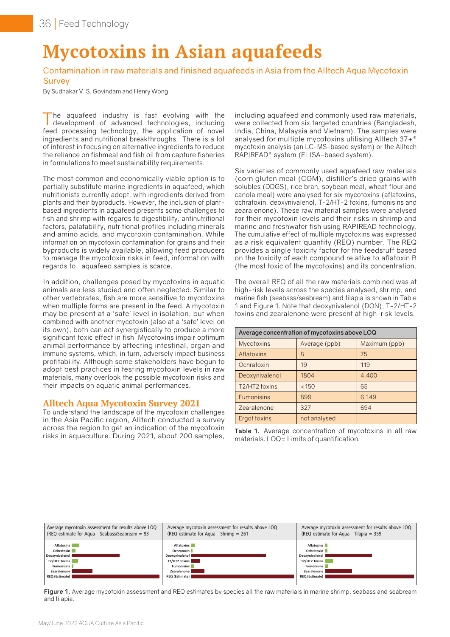# **Mycotoxins in Asian aquafeeds**

## Contamination in raw materials and finished aquafeeds in Asia from the Alltech Aqua Mycotoxin **Survey**

By Sudhakar V. S. Govindam and Henry Wong

The aquafeed industry is fast evolving with the development of advanced technologies, including feed processing technology, the application of novel ingredients and nutritional breakthroughs. There is a lot of interest in focusing on alternative ingredients to reduce the reliance on fishmeal and fish oil from capture fisheries in formulations to meet sustainability requirements.

The most common and economically viable option is to partially substitute marine ingredients in aquafeed, which nutritionists currently adopt, with ingredients derived from plants and their byproducts. However, the inclusion of plantbased ingredients in aquafeed presents some challenges to fish and shrimp with regards to digestibility, antinutritional factors, palatability, nutritional profiles including minerals and amino acids, and mycotoxin contamination. While information on mycotoxin contamination for grains and their byproducts is widely available, allowing feed producers to manage the mycotoxin risks in feed, information with regards to aquafeed samples is scarce.

In addition, challenges posed by mycotoxins in aquatic animals are less studied and often neglected. Similar to other vertebrates, fish are more sensitive to mycotoxins when multiple forms are present in the feed. A mycotoxin may be present at a 'safe' level in isolation, but when combined with another mycotoxin (also at a 'safe' level on its own), both can act synergistically to produce a more significant toxic effect in fish. Mycotoxins impair optimum animal performance by affecting intestinal, organ and immune systems, which, in turn, adversely impact business profitability. Although some stakeholders have begun to adopt best practices in testing mycotoxin levels in raw materials, many overlook the possible mycotoxin risks and their impacts on aquatic animal performances.

## **Alltech Aqua Mycotoxin Survey 2021**

To understand the landscape of the mycotoxin challenges in the Asia Pacific region, Alltech conducted a survey across the region to get an indication of the mycotoxin risks in aquaculture. During 2021, about 200 samples,

including aquafeed and commonly used raw materials, were collected from six targeted countries (Bangladesh, India, China, Malaysia and Vietnam). The samples were analysed for multiple mycotoxins utilising Alltech 37+® mycotoxin analysis (an LC-MS-based system) or the Alltech RAPIREAD® system (ELISA-based system).

Six varieties of commonly used aquafeed raw materials (corn gluten meal (CGM), distiller's dried grains with solubles (DDGS), rice bran, soybean meal, wheat flour and canola meal) were analysed for six mycotoxins (aflatoxins, ochratoxin, deoxynivalenol, T-2/HT-2 toxins, fumonisins and zearalenone). These raw material samples were analysed for their mycotoxin levels and their risks in shrimp and marine and freshwater fish using RAPIREAD technology. The cumulative effect of multiple mycotoxins was expressed as a risk equivalent quantity (REQ) number. The REQ provides a single toxicity factor for the feedstuff based on the toxicity of each compound relative to aflatoxin B (the most toxic of the mycotoxins) and its concentration.

The overall REQ of all the raw materials combined was at high-risk levels across the species analysed, shrimp, and marine fish (seabass/seabream) and tilapia is shown in Table 1 and Figure 1. Note that deoxynivalenol (DON), T-2/HT-2 toxins and zearalenone were present at high-risk levels.

|                   | Average concentration of mycotoxins above LOQ |               |
|-------------------|-----------------------------------------------|---------------|
| <b>Mycotoxins</b> | Average (ppb)                                 | Maximum (ppb) |
| Aflatoxins        | 8                                             | 75            |
| Ochratoxin        | 19                                            | 119           |
| Deoxynivalenol    | 1804                                          | 4,400         |
| T2/HT2 toxins     | < 150                                         | 65            |
| <b>Fumonisins</b> | 899                                           | 6,149         |
| Zearalenone       | 327                                           | 694           |
| Ergot toxins      | not analysed                                  |               |

**Table 1.** Average concentration of mycotoxins in all raw materials. LOQ= Limits of quantification.

| Average mycotoxin assessment for results above LOQ | Average mycotoxin assessment for results above LOQ | Average mycotoxin assessment for results above LOQ |
|----------------------------------------------------|----------------------------------------------------|----------------------------------------------------|
| (REQ estimate for Agua - Seabass/Seabream $= 93$   | (REQ estimate for Agua - Shrimp $= 261$            | (REQ estimate for Aqua - Tilapia = $359$           |
| Aflatoxins                                         | <b>Aflatoxins</b>                                  | <b>Aflatoxins</b>                                  |
| Ochratoxin                                         | Ochratoxin                                         | Ochratoxin                                         |
| Deoxynivalenol                                     | Deoxynivalenol                                     | Deoxynivalenol                                     |
| T2/HT2 Toxins                                      | T2/HT2 Toxins                                      | T2/HT2 Toxins                                      |
| <b>Fumonisins</b>                                  | <b>Fumonisins</b>                                  | <b>Fumonisins</b>                                  |
| Zearalenone                                        | Zearalenone                                        | Zearalenone                                        |
| REQ (Estimate)                                     | REQ (Estimate)                                     | REQ (Estimate)                                     |

Figure 1. Average mycotoxin assessment and REQ estimates by species all the raw materials in marine shrimp, seabass and seabream and tilapia.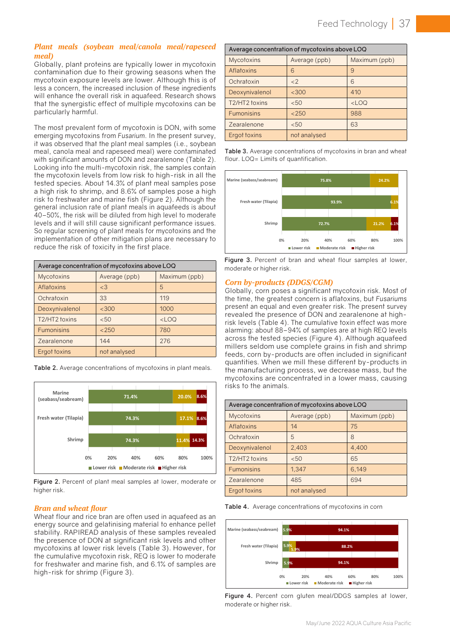## *Plant meals (soybean meal/canola meal/rapeseed meal)*

Globally, plant proteins are typically lower in mycotoxin contamination due to their growing seasons when the mycotoxin exposure levels are lower. Although this is of less a concern, the increased inclusion of these ingredients will enhance the overall risk in aquafeed. Research shows that the synergistic effect of multiple mycotoxins can be particularly harmful.

The most prevalent form of mycotoxin is DON, with some emerging mycotoxins from *Fusarium*. In the present survey, it was observed that the plant meal samples (i.e., soybean meal, canola meal and rapeseed meal) were contaminated with significant amounts of DON and zearalenone (Table 2). Looking into the multi-mycotoxin risk, the samples contain the mycotoxin levels from low risk to high-risk in all the tested species. About 14.3% of plant meal samples pose a high risk to shrimp, and 8.6% of samples pose a high risk to freshwater and marine fish (Figure 2). Although the general inclusion rate of plant meals in aquafeeds is about 40–50%, the risk will be diluted from high level to moderate levels and it will still cause significant performance issues. So regular screening of plant meals for mycotoxins and the implementation of other mitigation plans are necessary to reduce the risk of toxicity in the first place.

|                    | Average concentration of mycotoxins above LOQ |               |
|--------------------|-----------------------------------------------|---------------|
| <b>Mycotoxins</b>  | Average (ppb)                                 | Maximum (ppb) |
| Aflatoxins         | <3                                            | 5             |
| Ochratoxin         | 33                                            | 119           |
| Deoxynivalenol     | <300                                          | 1000          |
| T2/HT2 toxins      | < 50                                          | $<$ LOO       |
| <b>Fumonisins</b>  | < 250                                         | 780           |
| <b>Zearalenone</b> | 144                                           | 276           |
| Ergot toxins       | not analysed                                  |               |

**Table 2.** Average concentrations of mycotoxins in plant meals.



**Figure 2.** Percent of plant meal samples at lower, moderate or higher risk. higher risk.

### *Bran and wheat flour Bran and wheat flour* **are often used in an energy source and gelatinism source and gelatinism source and generalism source and generalism source and generalism source and generalism source and generalism source and ge**

Wheat flour and rice bran are often used in aquafeed as an well assence the presence in a presence in a presence the presence in a presence in a presence in a presence in a presence in a presence in a presence in a presenc energy source and gelatinising material to enhance pellet  $\bigcup_{\text{Ms}(S) \text{ has } \text{(sparse (s) from } S)}$ stability. RAPIREAD analysis of these samples revealed shamile seapass/seaper the presence of DON at significant risk levels and other the cumulative mycotoxin risk, REQ is lower to moderate high-risk for shrimp (Figure 3). Maximum mycotoxins at lower risk levels (Table 3). However, for for freshwater and marine fish, and 6.1% of samples are

|                   | Average concentration of mycotoxins above LOQ |               |  |
|-------------------|-----------------------------------------------|---------------|--|
| <b>Mycotoxins</b> | Average (ppb)                                 | Maximum (ppb) |  |
| Aflatoxins        | 6                                             | 9             |  |
| Ochratoxin        | $<$ 2                                         | 6             |  |
| Deoxynivalenol    | <300                                          | 410           |  |
| T2/HT2 toxins     | < 50                                          | $<$ LOQ       |  |
| <b>Fumonisins</b> | < 250                                         | 988           |  |
| Zearalenone       | < 50                                          | 63            |  |
| Ergot toxins      | not analysed                                  |               |  |

**Table 3.** Average concentrations of mycotoxins in bran and wheat flour. LOQ= Limits of quantification.



Figure 3. Percent of bran and wheat flour samples at lower, moderate or higher risk.

#### $G$  and  $G$  is a significant mycotoxin risk. Most of the time, the greatest concern is a significant mycotoxin  $\mathcal{A}$ *Corn by-products (DDGS/CGM)*

Globally, corn poses a significant mycotoxin risk. Most of the time, the greatest concern is aflatoxins, but *Fusariums*  $\mathbf{F}_{\mathbf{F}}$  and  $\mathbf{F}_{\mathbf{F}}$  are  $\mathbf{F}_{\mathbf{F}}$  and show use complete graphs in fish and show use complete graphs  $\mathbf{F}_{\mathbf{F}}$  and show use complete graphs for  $\mathbf{F}_{\mathbf{F}}$  and show use complete graphs  $\mathbf{F}_{\mathbf$ present an equal and even greater risk. The present survey revealed the presence of DON and zearalenone at highrisk levels (Table 4). The cumulative toxin effect was more across the tested species (Figure 4). Although aquafeed millers seldom use complete grains in fish and shrimp feeds, corn by-products are often included in significant quammos: when we min mose amorem by producte in<br>the manufacturing process, we decrease mass, but the mycotoxins are concentrated in a lower mass, causing risks to the animals. alarming: about 88–94% of samples are at high REQ levels quantities. When we mill these different by-products in

|                   | Average concentration of mycotoxins above LOQ |               |
|-------------------|-----------------------------------------------|---------------|
| <b>Mycotoxins</b> | Average (ppb)                                 | Maximum (ppb) |
| Aflatoxins        | 14                                            | 75            |
| Ochratoxin        | 5                                             | 8             |
| Deoxynivalenol    | 2,403                                         | 4.400         |
| T2/HT2 toxins     | < 50                                          | 65            |
| <b>Fumonisins</b> | 1.347                                         | 6,149         |
| Zearalenone       | 485                                           | 694           |
| Ergot toxins      | not analysed                                  |               |





Figure 4. Percent corn gluten meal/DDGS samples at lower, moderate or higher risk. *Finished feed*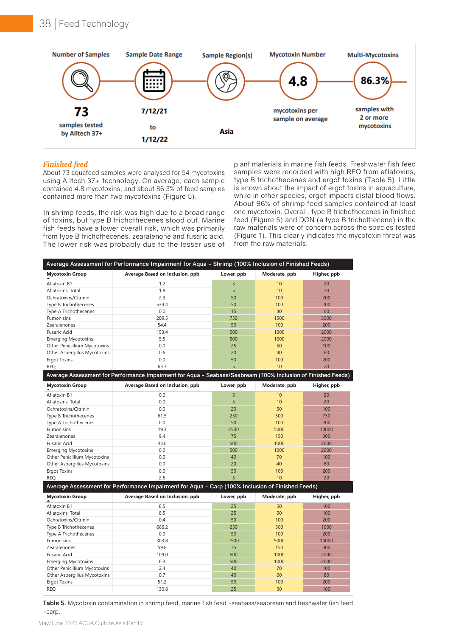

## *Finished feed*

using Alltech 37+ technology. On average, each sample contained 4.8 mycotoxins, and about 86.3% of feed samples

Asia Multiple selections In shrimp feeds, the risk was high due to a broad range or of toxins, but type B trichothecenes stood out. Marine from type B trichothecenes, zearalenone and fusaric acid. (Figure 1). This clearly indicates the mycotoxin thr<br>from type B trichothecenes, zearalenone and fusaric acid. (Figure 1). This clearly indicates the mycotoxin thr The lower risk was probably due to the lesser use of from the raw materials. fish feeds have a lower overall risk, which was primarily

n shrimp recordently recorded with the risk was high due to a broad range one mycotoxin. Overall, type B trichothecenes in finished rimarily raw materials were of concern across the species tested use of from the raw materials. Finished feed<br>
Finished feed About 73 aquafeed samples were analysed for 54 mycotoxins samples were recorded with high REQ from aflatoxins, which was primarily from the state of the state of the state of the state of the state of the state of the stat b triect of a rechnology. On average, each sample the bindichecence and digoritating (Table 5). Effine contained 4.8 mycotoxins, and about 86.3% of feed samples to known about the impact of ergot toxins in aquaculture, contained more than two mycotoxins (Figure 5). The while in other species, ergot impacts distal blood of toxins, but type B trichothecenes stood out. Marine feed (Figure 5) and DON (a type B trichothecene) in the samples were recorded with high REQ from aflatoxins, type B trichothecenes and ergot toxins (Table 5). Little while in other species, ergot impacts distal blood flows. About 96% of shrimp feed samples contained at least (Figure 1). This clearly indicates the mycotoxin threat was

| <b>Mycotoxin Group</b>       | Average Based on Inclusion, ppb                                                                              | Lower, ppb | Moderate, ppb | Higher, ppb |
|------------------------------|--------------------------------------------------------------------------------------------------------------|------------|---------------|-------------|
| Aflatoxin B1                 | 1.2                                                                                                          | 5          | 10            | 20          |
| Aflatoxins, Total            | 1.8                                                                                                          | 5          | 10            | 20          |
| Ochratoxins/Citrinin         | 2.3                                                                                                          | 50         | 100           | 200         |
| Type B Trichothecenes        | 534.4                                                                                                        | 50         | 100           | 200         |
| Type A Trichothecenes        | 0.0                                                                                                          | 15         | 30            | 60          |
| Fumonisins                   | 209.5                                                                                                        | 750        | 1500          | 3000        |
| Zearalenones                 | 54.4                                                                                                         | 50         | 100           | 200         |
| Fusaric Acid                 | 153.4                                                                                                        | 500        | 1000          | 2000        |
| <b>Emerging Mycotoxins</b>   | 5.5                                                                                                          | 500        | 1000          | 2000        |
| Other Penicillium Mycotoxins | 0.0                                                                                                          | 25         | 50            | 100         |
| Other Aspergillus Mycotoxins | 0.6                                                                                                          | 20         | 40            | 60          |
| Ergot Toxins                 | 0.0                                                                                                          | 50         | 100           | 200         |
| <b>REQ</b>                   | 63.3                                                                                                         | 5          | 10            | 20          |
|                              | Average Assessment for Performance Impairment for Aqua - Seabass/Seabream (100% Inclusion of Finished Feeds) |            |               |             |
| <b>Mycotoxin Group</b>       | Average Based on Inclusion, ppb                                                                              | Lower, ppb | Moderate, ppb | Higher, ppb |
| Aflatoxin B1                 | 0.0                                                                                                          | 5          | 10            | 20          |
| Aflatoxins, Total            | 0.0                                                                                                          | 5          | 10            | 20          |
| Ochratoxins/Citrinin         | 0.0                                                                                                          | 20         | 50            | 100         |
| Type B Trichothecenes        | 61.5                                                                                                         | 250        | 500           | 750         |
| Type A Trichothecenes        | 0.0                                                                                                          | 50         | 100           | 200         |
| Fumonisins                   | 19.3                                                                                                         | 2500       | 5000          | 10000       |
| Zearalenones                 | 9.4                                                                                                          | 75         | 150           | 300         |
| Fusaric Acid                 | 43.0                                                                                                         | 500        | 1000          | 2000        |
| <b>Emerging Mycotoxins</b>   | 0.0                                                                                                          | 500        | 1000          | 2000        |
| Other Penicillium Mycotoxins | 0.0                                                                                                          | 40         | 70            | 100         |
| Other Aspergillus Mycotoxins | 0.0                                                                                                          | 20         | 40            | 60          |
| <b>Ergot Toxins</b>          | 0.0                                                                                                          | 50         | 100           | 200         |
| <b>REQ</b>                   | 2.5                                                                                                          | 5          | 10            | 20          |
|                              | Average Assessment for Performance Impairment for Aqua - Carp (100% Inclusion of Finished Feeds)             |            |               |             |
| <b>Mycotoxin Group</b>       | Average Based on Inclusion, ppb                                                                              | Lower, ppb | Moderate, ppb | Higher, ppb |
| Aflatoxin B1                 | 8.5                                                                                                          | 25         | 50            | 100         |
| Aflatoxins, Total            | 8.5                                                                                                          | 25         | 50            | 100         |
| Ochratoxins/Citrinin         | 0.4                                                                                                          | 50         | 100           | 200         |
| Type B Trichothecenes        | 666.2                                                                                                        | 250        | 500           | 1000        |
| Type A Trichothecenes        | 0.0                                                                                                          | 50         | 100           | 200         |
| Fumonisins                   | 303.8                                                                                                        | 2500       | 5000          | 10000       |
| Zearalenones                 | 59.8                                                                                                         | 75         | 150           | 300         |
| Fusaric Acid                 | 109.0                                                                                                        | 500        | 1000          | 2000        |
| <b>Emerging Mycotoxins</b>   | 6.3                                                                                                          | 500        | 1000          | 2000        |
| Other Penicillium Mycotoxins | 2.4                                                                                                          | 40         | 70            | 100         |
| Other Aspergillus Mycotoxins | 0.7                                                                                                          | 40         | 60            | 80          |
| <b>Ergot Toxins</b>          | 51.2                                                                                                         | 50         | 100           | 200         |
| <b>REQ</b>                   | 130.8                                                                                                        | 25         | 50            | 100         |

**Table 5.** Mycotoxin contamination in shrimp feed, marine fish feed -seabass/seabream and freshwater fish feed -carp.